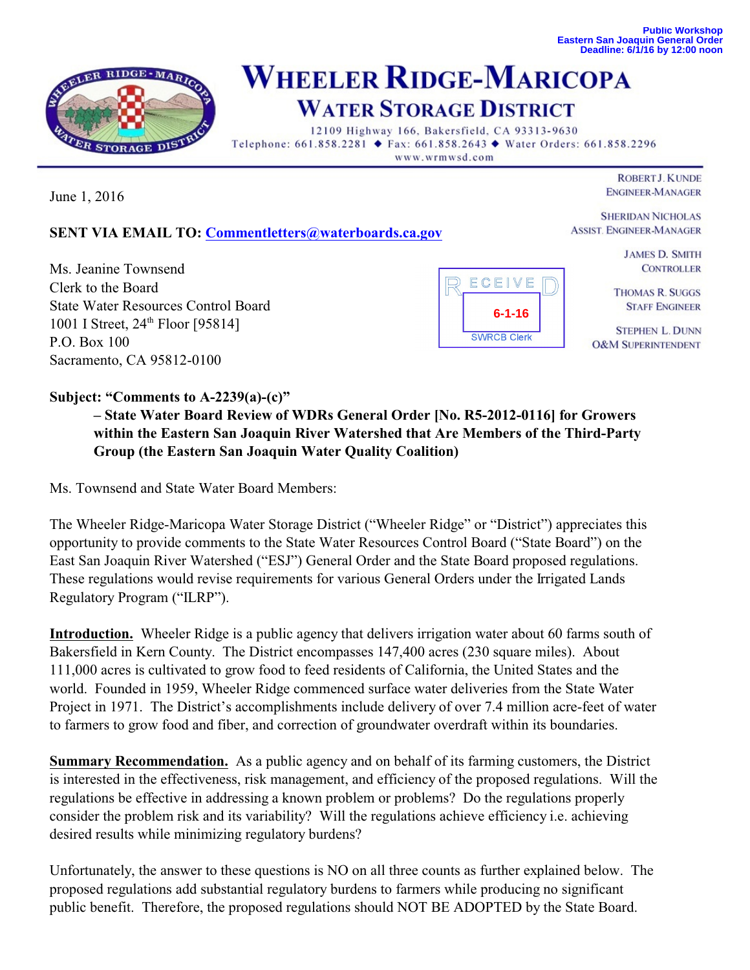**Public Workshop Eastern San Joaquin General Order Deadline: 6/1/16 by 12:00 noon**



## **WHEELER RIDGE-MARICOPA WATER STORAGE DISTRICT**

12109 Highway 166, Bakersfield, CA 93313-9630 Telephone: 661.858.2281 ♦ Fax: 661.858.2643 ♦ Water Orders: 661.858.2296 www.wrmwsd.com

June 1, 2016

**ROBERT J. KUNDE ENGINEER-MANAGER** 

**SHERIDAN NICHOLAS** 

**SENT VIA EMAIL TO: [Commentletters@waterboards.ca.gov](mailto:Commentletters@waterboards.ca.gov)**

Ms. Jeanine Townsend Clerk to the Board State Water Resources Control Board 1001 I Street, 24<sup>th</sup> Floor [95814] P.O. Box 100 Sacramento, CA 95812-0100



**ASSIST. ENGINEER-MANAGER JAMES D. SMITH** 

**CONTROLLER** 

**THOMAS R. SUGGS STAFF ENGINEER** 

**STEPHEN L. DUNN O&M SUPERINTENDENT** 

## **Subject: "Comments to A-2239(a)-(c)"**

**– State Water Board Review of WDRs General Order [No. R5-2012-0116] for Growers within the Eastern San Joaquin River Watershed that Are Members of the Third-Party Group (the Eastern San Joaquin Water Quality Coalition)**

Ms. Townsend and State Water Board Members:

The Wheeler Ridge-Maricopa Water Storage District ("Wheeler Ridge" or "District") appreciates this opportunity to provide comments to the State Water Resources Control Board ("State Board") on the East San Joaquin River Watershed ("ESJ") General Order and the State Board proposed regulations. These regulations would revise requirements for various General Orders under the Irrigated Lands Regulatory Program ("ILRP").

**Introduction.** Wheeler Ridge is a public agency that delivers irrigation water about 60 farms south of Bakersfield in Kern County. The District encompasses 147,400 acres (230 square miles). About 111,000 acres is cultivated to grow food to feed residents of California, the United States and the world. Founded in 1959, Wheeler Ridge commenced surface water deliveries from the State Water Project in 1971. The District's accomplishments include delivery of over 7.4 million acre-feet of water to farmers to grow food and fiber, and correction of groundwater overdraft within its boundaries.

**Summary Recommendation.** As a public agency and on behalf of its farming customers, the District is interested in the effectiveness, risk management, and efficiency of the proposed regulations. Will the regulations be effective in addressing a known problem or problems? Do the regulations properly consider the problem risk and its variability? Will the regulations achieve efficiency i.e. achieving desired results while minimizing regulatory burdens?

Unfortunately, the answer to these questions is NO on all three counts as further explained below. The proposed regulations add substantial regulatory burdens to farmers while producing no significant public benefit. Therefore, the proposed regulations should NOT BE ADOPTED by the State Board.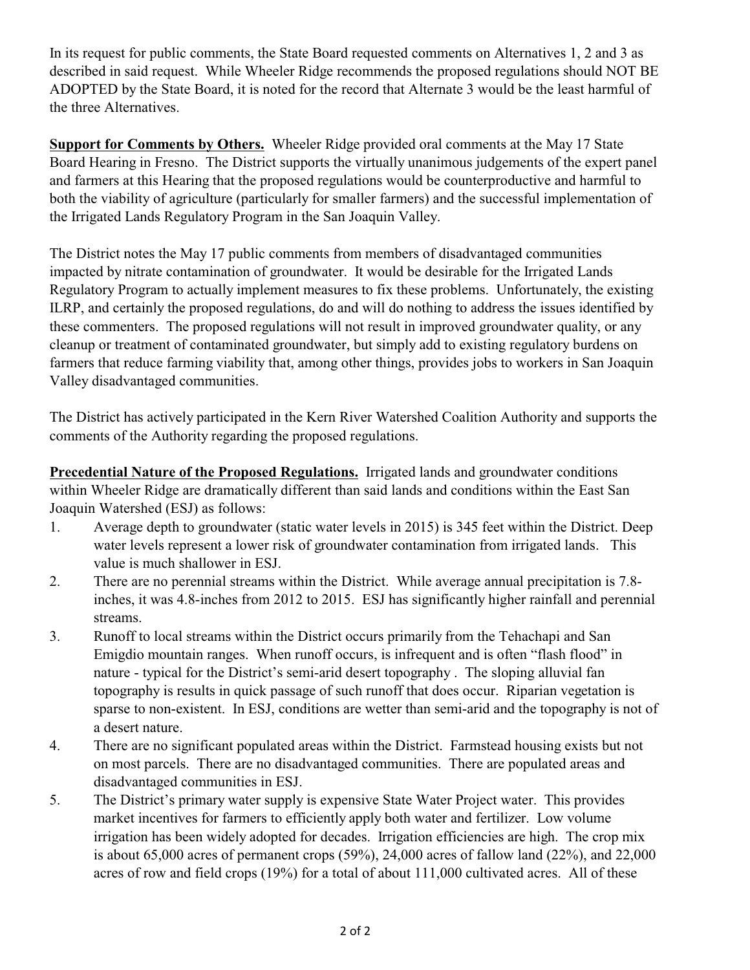In its request for public comments, the State Board requested comments on Alternatives 1, 2 and 3 as described in said request. While Wheeler Ridge recommends the proposed regulations should NOT BE ADOPTED by the State Board, it is noted for the record that Alternate 3 would be the least harmful of the three Alternatives.

**Support for Comments by Others.** Wheeler Ridge provided oral comments at the May 17 State Board Hearing in Fresno. The District supports the virtually unanimous judgements of the expert panel and farmers at this Hearing that the proposed regulations would be counterproductive and harmful to both the viability of agriculture (particularly for smaller farmers) and the successful implementation of the Irrigated Lands Regulatory Program in the San Joaquin Valley.

The District notes the May 17 public comments from members of disadvantaged communities impacted by nitrate contamination of groundwater. It would be desirable for the Irrigated Lands Regulatory Program to actually implement measures to fix these problems. Unfortunately, the existing ILRP, and certainly the proposed regulations, do and will do nothing to address the issues identified by these commenters. The proposed regulations will not result in improved groundwater quality, or any cleanup or treatment of contaminated groundwater, but simply add to existing regulatory burdens on farmers that reduce farming viability that, among other things, provides jobs to workers in San Joaquin Valley disadvantaged communities.

The District has actively participated in the Kern River Watershed Coalition Authority and supports the comments of the Authority regarding the proposed regulations.

**Precedential Nature of the Proposed Regulations.** Irrigated lands and groundwater conditions within Wheeler Ridge are dramatically different than said lands and conditions within the East San Joaquin Watershed (ESJ) as follows:

- 1. Average depth to groundwater (static water levels in 2015) is 345 feet within the District. Deep water levels represent a lower risk of groundwater contamination from irrigated lands. This value is much shallower in ESJ.
- 2. There are no perennial streams within the District. While average annual precipitation is 7.8 inches, it was 4.8-inches from 2012 to 2015. ESJ has significantly higher rainfall and perennial streams.
- 3. Runoff to local streams within the District occurs primarily from the Tehachapi and San Emigdio mountain ranges. When runoff occurs, is infrequent and is often "flash flood" in nature - typical for the District's semi-arid desert topography . The sloping alluvial fan topography is results in quick passage of such runoff that does occur. Riparian vegetation is sparse to non-existent. In ESJ, conditions are wetter than semi-arid and the topography is not of a desert nature.
- 4. There are no significant populated areas within the District. Farmstead housing exists but not on most parcels. There are no disadvantaged communities. There are populated areas and disadvantaged communities in ESJ.
- 5. The District's primary water supply is expensive State Water Project water. This provides market incentives for farmers to efficiently apply both water and fertilizer. Low volume irrigation has been widely adopted for decades. Irrigation efficiencies are high. The crop mix is about 65,000 acres of permanent crops (59%), 24,000 acres of fallow land (22%), and 22,000 acres of row and field crops (19%) for a total of about 111,000 cultivated acres. All of these